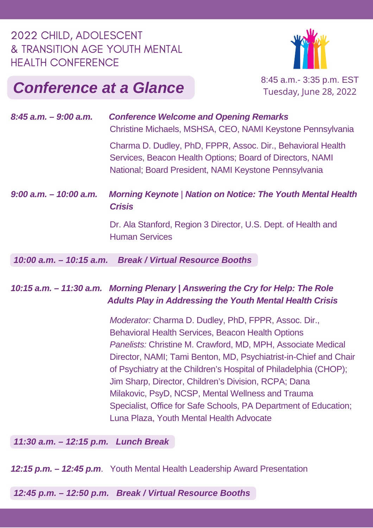### 2022 CHILD, ADOLESCENT & TRANSITION AGE YOUTH MENTAL HEALTH CONFERENCE



# **Conference at a Glance** 8:45 a.m.- 3:35 p.m. EST

Tuesday, June 28, 2022

| $8:45$ a.m. $-9:00$ a.m.  | <b>Conference Welcome and Opening Remarks</b><br>Christine Michaels, MSHSA, CEO, NAMI Keystone Pennsylvania                                                                       |
|---------------------------|-----------------------------------------------------------------------------------------------------------------------------------------------------------------------------------|
|                           | Charma D. Dudley, PhD, FPPR, Assoc. Dir., Behavioral Health<br>Services, Beacon Health Options; Board of Directors, NAMI<br>National; Board President, NAMI Keystone Pennsylvania |
| $9:00$ a.m. $-10:00$ a.m. | <b>Morning Keynote   Nation on Notice: The Youth Mental Health</b><br><b>Crisis</b>                                                                                               |
|                           | Dr. Ala Stanford, Region 3 Director, U.S. Dept. of Health and<br><b>Human Services</b>                                                                                            |
|                           | 10:00 a.m. - 10:15 a.m. Break / Virtual Resource Booths                                                                                                                           |
|                           |                                                                                                                                                                                   |

#### *10:15 a.m. – 11:30 a.m. Morning Plenary | Answering the Cry for Help: The Role Adults Play in Addressing the Youth Mental Health Crisis*

*Moderator:* Charma D. Dudley, PhD, FPPR, Assoc. Dir., Behavioral Health Services, Beacon Health Options *Panelists:* Christine M. Crawford, MD, MPH, Associate Medical Director, NAMI; Tami Benton, MD, Psychiatrist-in-Chief and Chair of Psychiatry at the Children's Hospital of Philadelphia (CHOP); Jim Sharp, Director, Children's Division, RCPA; Dana Milakovic, PsyD, NCSP, Mental Wellness and Trauma Specialist, Office for Safe Schools, PA Department of Education; Luna Plaza, Youth Mental Health Advocate

*11:30 a.m. – 12:15 p.m. Lunch Break*

*12:15 p.m. – 12:45 p.m*. Youth Mental Health Leadership Award Presentation

*12:45 p.m. – 12:50 p.m. Break / Virtual Resource Booths*